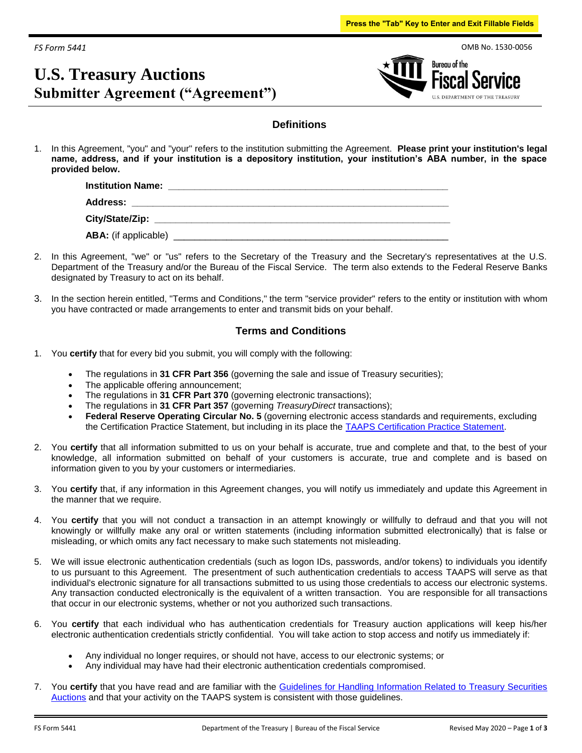*FS Form 5441*

# **U.S. Treasury Auctions Submitter Agreement ("Agreement")**



### **Definitions**

1. In this Agreement, "you" and "your" refers to the institution submitting the Agreement. **Please print your institution's legal name, address, and if your institution is a depository institution, your institution's ABA number, in the space provided below.**

| <b>Institution Name:</b><br><u> 1989 - John Stein, Amerikaansk politiker († 1989)</u> |
|---------------------------------------------------------------------------------------|
| Address: _________________________                                                    |
|                                                                                       |
|                                                                                       |

- 2. In this Agreement, "we" or "us" refers to the Secretary of the Treasury and the Secretary's representatives at the U.S. Department of the Treasury and/or the Bureau of the Fiscal Service. The term also extends to the Federal Reserve Banks designated by Treasury to act on its behalf.
- 3. In the section herein entitled, "Terms and Conditions," the term "service provider" refers to the entity or institution with whom you have contracted or made arrangements to enter and transmit bids on your behalf.

## **Terms and Conditions**

- 1. You **certify** that for every bid you submit, you will comply with the following:
	- The regulations in **31 CFR Part 356** (governing the sale and issue of Treasury securities);
	- The applicable offering announcement;
	- The regulations in **31 CFR Part 370** (governing electronic transactions);
	- The regulations in **31 CFR Part 357** (governing *TreasuryDirect* transactions);
	- **Federal Reserve Operating Circular No. 5** (governing electronic access standards and requirements, excluding the Certification Practice Statement, but including in its place the TAAPS Certification Practice Statement.
- 2. You **certify** that all information submitted to us on your behalf is accurate, true and complete and that, to the best of your knowledge, all information submitted on behalf of your customers is accurate, true and complete and is based on information given to you by your customers or intermediaries.
- 3. You **certify** that, if any information in this Agreement changes, you will notify us immediately and update this Agreement in the manner that we require.
- 4. You **certify** that you will not conduct a transaction in an attempt knowingly or willfully to defraud and that you will not knowingly or willfully make any oral or written statements (including information submitted electronically) that is false or misleading, or which omits any fact necessary to make such statements not misleading.
- 5. We will issue electronic authentication credentials (such as logon IDs, passwords, and/or tokens) to individuals you identify to us pursuant to this Agreement. The presentment of such authentication credentials to access TAAPS will serve as that individual's electronic signature for all transactions submitted to us using those credentials to access our electronic systems. Any transaction conducted electronically is the equivalent of a written transaction. You are responsible for all transactions that occur in our electronic systems, whether or not you authorized such transactions.
- 6. You **certify** that each individual who has authentication credentials for Treasury auction applications will keep his/her electronic authentication credentials strictly confidential. You will take action to stop access and notify us immediately if:
	- Any individual no longer requires, or should not have, access to our electronic systems; or
	- Any individual may have had their electronic authentication credentials compromised.
- 7. You **certify** that you have read and are familiar with the Guidelines for Handling Information Related to Treasury Securities Auctions and that your activity on the TAAPS system is consistent with those guidelines.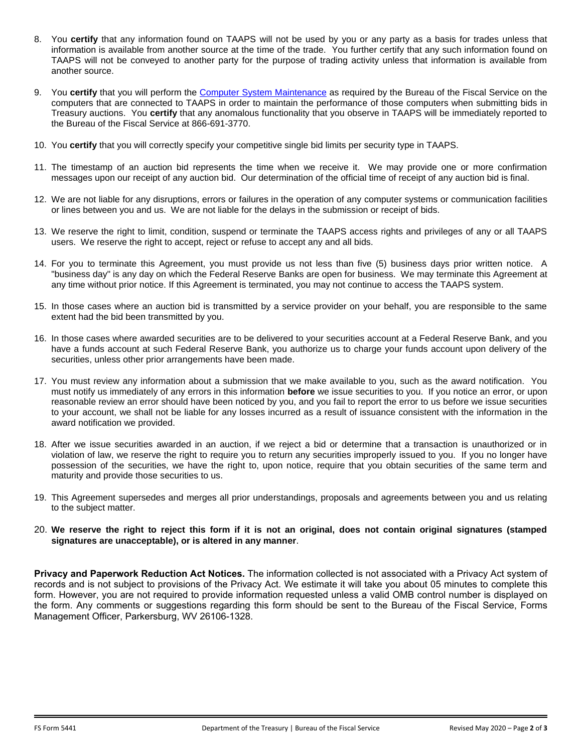- 8. You **certify** that any information found on TAAPS will not be used by you or any party as a basis for trades unless that information is available from another source at the time of the trade. You further certify that any such information found on TAAPS will not be conveyed to another party for the purpose of trading activity unless that information is available from another source.
- 9. You **certify** that you will perform the Computer System Maintenance as required by the Bureau of the Fiscal Service on the computers that are connected to TAAPS in order to maintain the performance of those computers when submitting bids in Treasury auctions. You **certify** that any anomalous functionality that you observe in TAAPS will be immediately reported to the Bureau of the Fiscal Service at 866-691-3770.
- 10. You **certify** that you will correctly specify your competitive single bid limits per security type in TAAPS.
- 11. The timestamp of an auction bid represents the time when we receive it. We may provide one or more confirmation messages upon our receipt of any auction bid. Our determination of the official time of receipt of any auction bid is final.
- 12. We are not liable for any disruptions, errors or failures in the operation of any computer systems or communication facilities or lines between you and us. We are not liable for the delays in the submission or receipt of bids.
- 13. We reserve the right to limit, condition, suspend or terminate the TAAPS access rights and privileges of any or all TAAPS users. We reserve the right to accept, reject or refuse to accept any and all bids.
- 14. For you to terminate this Agreement, you must provide us not less than five (5) business days prior written notice. A "business day" is any day on which the Federal Reserve Banks are open for business. We may terminate this Agreement at any time without prior notice. If this Agreement is terminated, you may not continue to access the TAAPS system.
- 15. In those cases where an auction bid is transmitted by a service provider on your behalf, you are responsible to the same extent had the bid been transmitted by you.
- 16. In those cases where awarded securities are to be delivered to your securities account at a Federal Reserve Bank, and you have a funds account at such Federal Reserve Bank, you authorize us to charge your funds account upon delivery of the securities, unless other prior arrangements have been made.
- 17. You must review any information about a submission that we make available to you, such as the award notification. You must notify us immediately of any errors in this information **before** we issue securities to you. If you notice an error, or upon reasonable review an error should have been noticed by you, and you fail to report the error to us before we issue securities to your account, we shall not be liable for any losses incurred as a result of issuance consistent with the information in the award notification we provided.
- 18. After we issue securities awarded in an auction, if we reject a bid or determine that a transaction is unauthorized or in violation of law, we reserve the right to require you to return any securities improperly issued to you. If you no longer have possession of the securities, we have the right to, upon notice, require that you obtain securities of the same term and maturity and provide those securities to us.
- 19. This Agreement supersedes and merges all prior understandings, proposals and agreements between you and us relating to the subject matter.
- 20. **We reserve the right to reject this form if it is not an original, does not contain original signatures (stamped signatures are unacceptable), or is altered in any manner**.

**Privacy and Paperwork Reduction Act Notices.** The information collected is not associated with a Privacy Act system of records and is not subject to provisions of the Privacy Act. We estimate it will take you about 05 minutes to complete this form. However, you are not required to provide information requested unless a valid OMB control number is displayed on the form. Any comments or suggestions regarding this form should be sent to the Bureau of the Fiscal Service, Forms Management Officer, Parkersburg, WV 26106-1328.